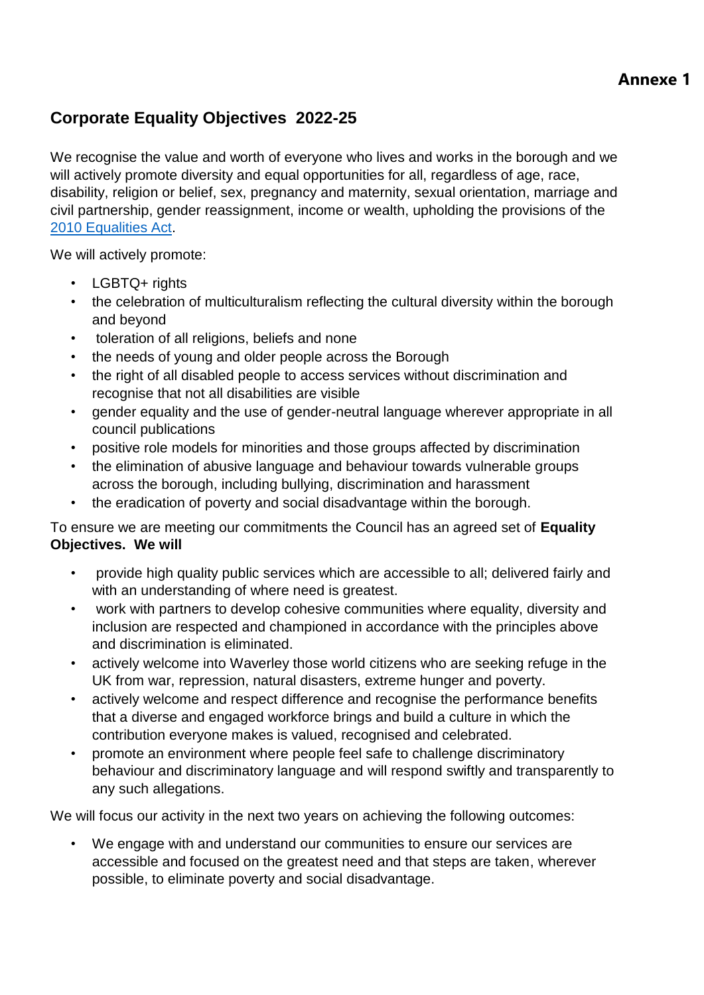## **Annexe 1**

## **Corporate Equality Objectives 2022-25**

We recognise the value and worth of everyone who lives and works in the borough and we will actively promote diversity and equal opportunities for all, regardless of age, race, disability, religion or belief, sex, pregnancy and maternity, sexual orientation, marriage and civil partnership, gender reassignment, income or wealth, upholding the provisions of the 2010 Equalities Act.

We will actively promote:

- LGBTQ+ rights
- the celebration of multiculturalism reflecting the cultural diversity within the borough and beyond
- toleration of all religions, beliefs and none
- the needs of young and older people across the Borough
- the right of all disabled people to access services without discrimination and recognise that not all disabilities are visible
- gender equality and the use of gender-neutral language wherever appropriate in all council publications
- positive role models for minorities and those groups affected by discrimination
- the elimination of abusive language and behaviour towards vulnerable groups across the borough, including bullying, discrimination and harassment
- the eradication of poverty and social disadvantage within the borough.

To ensure we are meeting our commitments the Council has an agreed set of **Equality Objectives. We will**

- provide high quality public services which are accessible to all; delivered fairly and with an understanding of where need is greatest.
- work with partners to develop cohesive communities where equality, diversity and inclusion are respected and championed in accordance with the principles above and discrimination is eliminated.
- actively welcome into Waverley those world citizens who are seeking refuge in the UK from war, repression, natural disasters, extreme hunger and poverty.
- actively welcome and respect difference and recognise the performance benefits that a diverse and engaged workforce brings and build a culture in which the contribution everyone makes is valued, recognised and celebrated.
- promote an environment where people feel safe to challenge discriminatory behaviour and discriminatory language and will respond swiftly and transparently to any such allegations.

We will focus our activity in the next two years on achieving the following outcomes:

• We engage with and understand our communities to ensure our services are accessible and focused on the greatest need and that steps are taken, wherever possible, to eliminate poverty and social disadvantage.